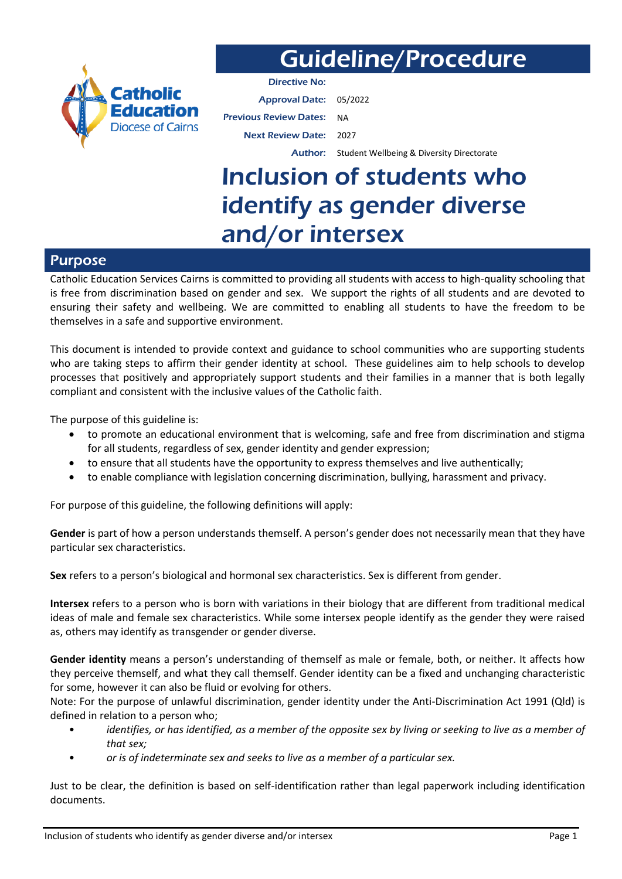

# Guideline/Procedure

Directive No: Approval Date: 05/2022 Previous Review Dates: NA Next Review Date: 2027

Author: Student Wellbeing & Diversity Directorate

# Inclusion of students who identify as gender diverse and/or intersex

## Purpose

Catholic Education Services Cairns is committed to providing all students with access to high-quality schooling that is free from discrimination based on gender and sex. We support the rights of all students and are devoted to ensuring their safety and wellbeing. We are committed to enabling all students to have the freedom to be themselves in a safe and supportive environment.

This document is intended to provide context and guidance to school communities who are supporting students who are taking steps to affirm their gender identity at school. These guidelines aim to help schools to develop processes that positively and appropriately support students and their families in a manner that is both legally compliant and consistent with the inclusive values of the Catholic faith.

The purpose of this guideline is:

- to promote an educational environment that is welcoming, safe and free from discrimination and stigma for all students, regardless of sex, gender identity and gender expression;
- to ensure that all students have the opportunity to express themselves and live authentically;
- to enable compliance with legislation concerning discrimination, bullying, harassment and privacy.

For purpose of this guideline, the following definitions will apply:

**Gender** is part of how a person understands themself. A person's gender does not necessarily mean that they have particular sex characteristics.

**Sex** refers to a person's biological and hormonal sex characteristics. Sex is different from gender.

**Intersex** refers to a person who is born with variations in their biology that are different from traditional medical ideas of male and female sex characteristics. While some intersex people identify as the gender they were raised as, others may identify as transgender or gender diverse.

**Gender identity** means a person's understanding of themself as male or female, both, or neither. It affects how they perceive themself, and what they call themself. Gender identity can be a fixed and unchanging characteristic for some, however it can also be fluid or evolving for others.

Note: For the purpose of unlawful discrimination, gender identity under the Anti-Discrimination Act 1991 (Qld) is defined in relation to a person who;

- *identifies, or has identified, as a member of the opposite sex by living or seeking to live as a member of that sex;*
- *or is of indeterminate sex and seeks to live as a member of a particular sex.*

Just to be clear, the definition is based on self-identification rather than legal paperwork including identification documents.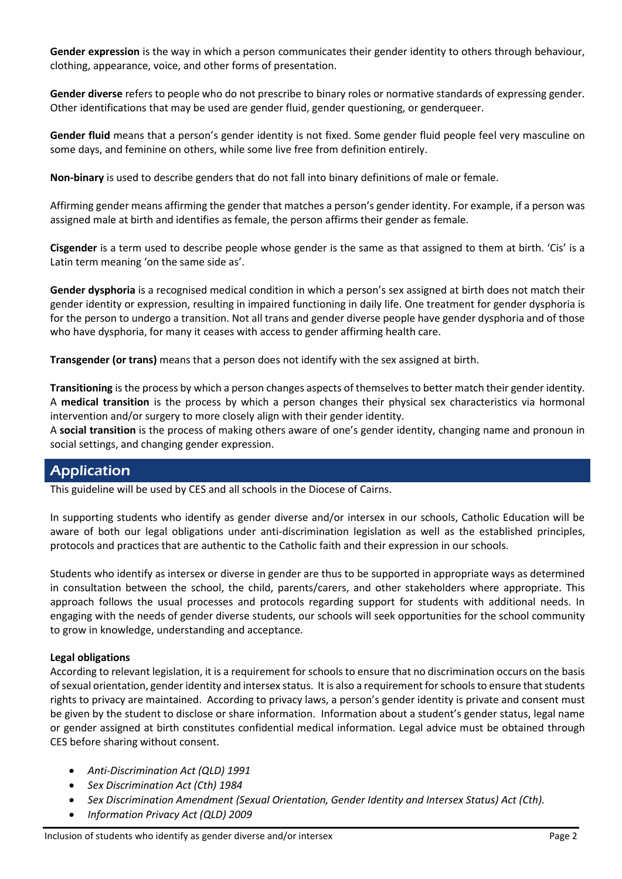**Gender expression** is the way in which a person communicates their gender identity to others through behaviour, clothing, appearance, voice, and other forms of presentation.

**Gender diverse** refers to people who do not prescribe to binary roles or normative standards of expressing gender. Other identifications that may be used are gender fluid, gender questioning, or genderqueer.

**Gender fluid** means that a person's gender identity is not fixed. Some gender fluid people feel very masculine on some days, and feminine on others, while some live free from definition entirely.

**Non-binary** is used to describe genders that do not fall into binary definitions of male or female.

Affirming gender means affirming the gender that matches a person's gender identity. For example, if a person was assigned male at birth and identifies as female, the person affirms their gender as female.

**Cisgender** is a term used to describe people whose gender is the same as that assigned to them at birth. 'Cis' is a Latin term meaning 'on the same side as'.

**Gender dysphoria** is a recognised medical condition in which a person's sex assigned at birth does not match their gender identity or expression, resulting in impaired functioning in daily life. One treatment for gender dysphoria is for the person to undergo a transition. Not all trans and gender diverse people have gender dysphoria and of those who have dysphoria, for many it ceases with access to gender affirming health care.

**Transgender (or trans)** means that a person does not identify with the sex assigned at birth.

**Transitioning** is the process by which a person changes aspects of themselves to better match their gender identity. A **medical transition** is the process by which a person changes their physical sex characteristics via hormonal intervention and/or surgery to more closely align with their gender identity.

A **social transition** is the process of making others aware of one's gender identity, changing name and pronoun in social settings, and changing gender expression.

# Application

This guideline will be used by CES and all schools in the Diocese of Cairns.

In supporting students who identify as gender diverse and/or intersex in our schools, Catholic Education will be aware of both our legal obligations under anti-discrimination legislation as well as the established principles, protocols and practices that are authentic to the Catholic faith and their expression in our schools.

Students who identify as intersex or diverse in gender are thus to be supported in appropriate ways as determined in consultation between the school, the child, parents/carers, and other stakeholders where appropriate. This approach follows the usual processes and protocols regarding support for students with additional needs. In engaging with the needs of gender diverse students, our schools will seek opportunities for the school community to grow in knowledge, understanding and acceptance.

## **Legal obligations**

According to relevant legislation, it is a requirement for schools to ensure that no discrimination occurs on the basis of sexual orientation, gender identity and intersex status. It is also a requirement for schools to ensure that students rights to privacy are maintained. According to privacy laws, a person's gender identity is private and consent must be given by the student to disclose or share information. Information about a student's gender status, legal name or gender assigned at birth constitutes confidential medical information. Legal advice must be obtained through CES before sharing without consent.

- *Anti-Discrimination Act (QLD) 1991*
- *Sex Discrimination Act (Cth) 1984*
- *Sex Discrimination Amendment (Sexual Orientation, Gender Identity and Intersex Status) Act (Cth).*
- *Information Privacy Act (QLD) 2009*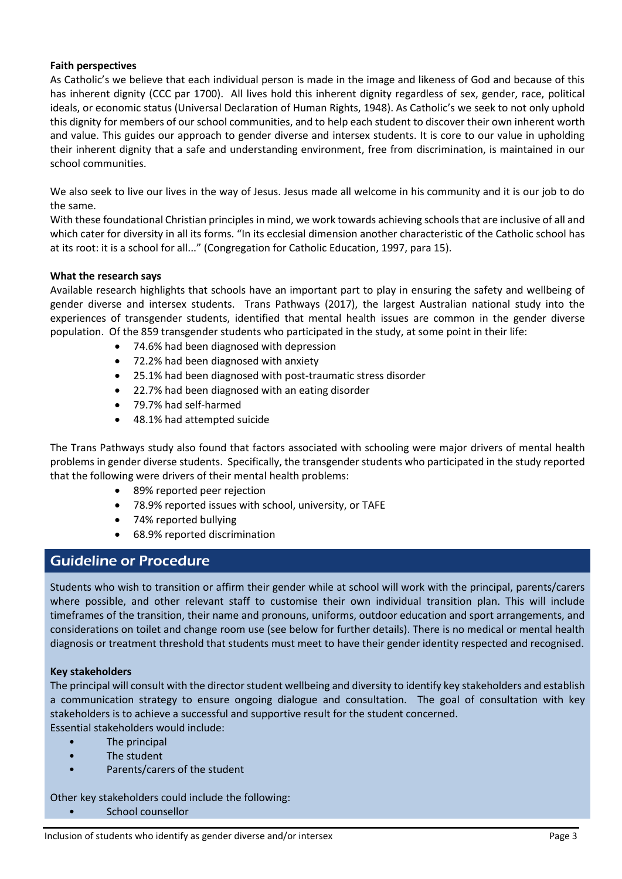## **Faith perspectives**

As Catholic's we believe that each individual person is made in the image and likeness of God and because of this has inherent dignity (CCC par 1700). All lives hold this inherent dignity regardless of sex, gender, race, political ideals, or economic status (Universal Declaration of Human Rights, 1948). As Catholic's we seek to not only uphold this dignity for members of our school communities, and to help each student to discover their own inherent worth and value. This guides our approach to gender diverse and intersex students. It is core to our value in upholding their inherent dignity that a safe and understanding environment, free from discrimination, is maintained in our school communities.

We also seek to live our lives in the way of Jesus. Jesus made all welcome in his community and it is our job to do the same.

With these foundational Christian principles in mind, we work towards achieving schools that are inclusive of all and which cater for diversity in all its forms. "In its ecclesial dimension another characteristic of the Catholic school has at its root: it is a school for all..." (Congregation for Catholic Education, 1997, para 15).

## **What the research says**

Available research highlights that schools have an important part to play in ensuring the safety and wellbeing of gender diverse and intersex students. Trans Pathways (2017), the largest Australian national study into the experiences of transgender students, identified that mental health issues are common in the gender diverse population. Of the 859 transgender students who participated in the study, at some point in their life:

- 74.6% had been diagnosed with depression
- 72.2% had been diagnosed with anxiety
- 25.1% had been diagnosed with post-traumatic stress disorder
- 22.7% had been diagnosed with an eating disorder
- 79.7% had self-harmed
- 48.1% had attempted suicide

The Trans Pathways study also found that factors associated with schooling were major drivers of mental health problems in gender diverse students. Specifically, the transgender students who participated in the study reported that the following were drivers of their mental health problems:

- 89% reported peer rejection
- 78.9% reported issues with school, university, or TAFE
- 74% reported bullying
- 68.9% reported discrimination

# Guideline or Procedure

Students who wish to transition or affirm their gender while at school will work with the principal, parents/carers where possible, and other relevant staff to customise their own individual transition plan. This will include timeframes of the transition, their name and pronouns, uniforms, outdoor education and sport arrangements, and considerations on toilet and change room use (see below for further details). There is no medical or mental health diagnosis or treatment threshold that students must meet to have their gender identity respected and recognised.

## **Key stakeholders**

The principal will consult with the director student wellbeing and diversity to identify key stakeholders and establish a communication strategy to ensure ongoing dialogue and consultation. The goal of consultation with key stakeholders is to achieve a successful and supportive result for the student concerned.

Essential stakeholders would include:

- The principal
- The student
- Parents/carers of the student

Other key stakeholders could include the following:

• School counsellor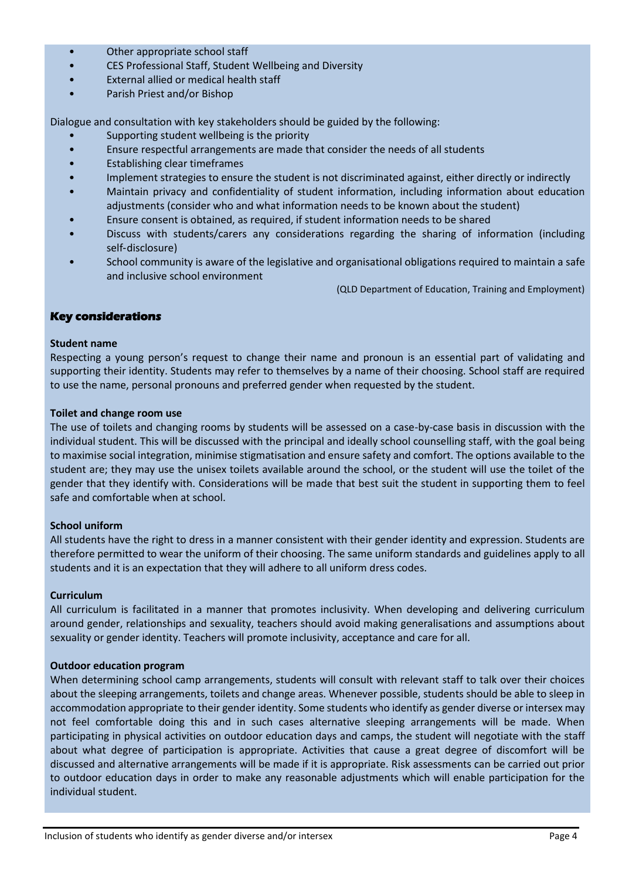- Other appropriate school staff
- CES Professional Staff, Student Wellbeing and Diversity
- External allied or medical health staff
- Parish Priest and/or Bishop

Dialogue and consultation with key stakeholders should be guided by the following:

- Supporting student wellbeing is the priority
- Ensure respectful arrangements are made that consider the needs of all students
- Establishing clear timeframes
- Implement strategies to ensure the student is not discriminated against, either directly or indirectly
- Maintain privacy and confidentiality of student information, including information about education adjustments (consider who and what information needs to be known about the student)
- Ensure consent is obtained, as required, if student information needs to be shared
- Discuss with students/carers any considerations regarding the sharing of information (including self‑disclosure)
- School community is aware of the legislative and organisational obligations required to maintain a safe and inclusive school environment

(QLD Department of Education, Training and Employment)

## **Key considerations**

#### **Student name**

Respecting a young person's request to change their name and pronoun is an essential part of validating and supporting their identity. Students may refer to themselves by a name of their choosing. School staff are required to use the name, personal pronouns and preferred gender when requested by the student.

#### **Toilet and change room use**

The use of toilets and changing rooms by students will be assessed on a case-by-case basis in discussion with the individual student. This will be discussed with the principal and ideally school counselling staff, with the goal being to maximise social integration, minimise stigmatisation and ensure safety and comfort. The options available to the student are; they may use the unisex toilets available around the school, or the student will use the toilet of the gender that they identify with. Considerations will be made that best suit the student in supporting them to feel safe and comfortable when at school.

#### **School uniform**

All students have the right to dress in a manner consistent with their gender identity and expression. Students are therefore permitted to wear the uniform of their choosing. The same uniform standards and guidelines apply to all students and it is an expectation that they will adhere to all uniform dress codes.

#### **Curriculum**

All curriculum is facilitated in a manner that promotes inclusivity. When developing and delivering curriculum around gender, relationships and sexuality, teachers should avoid making generalisations and assumptions about sexuality or gender identity. Teachers will promote inclusivity, acceptance and care for all.

#### **Outdoor education program**

When determining school camp arrangements, students will consult with relevant staff to talk over their choices about the sleeping arrangements, toilets and change areas. Whenever possible, students should be able to sleep in accommodation appropriate to their gender identity. Some students who identify as gender diverse or intersex may not feel comfortable doing this and in such cases alternative sleeping arrangements will be made. When participating in physical activities on outdoor education days and camps, the student will negotiate with the staff about what degree of participation is appropriate. Activities that cause a great degree of discomfort will be discussed and alternative arrangements will be made if it is appropriate. Risk assessments can be carried out prior to outdoor education days in order to make any reasonable adjustments which will enable participation for the individual student.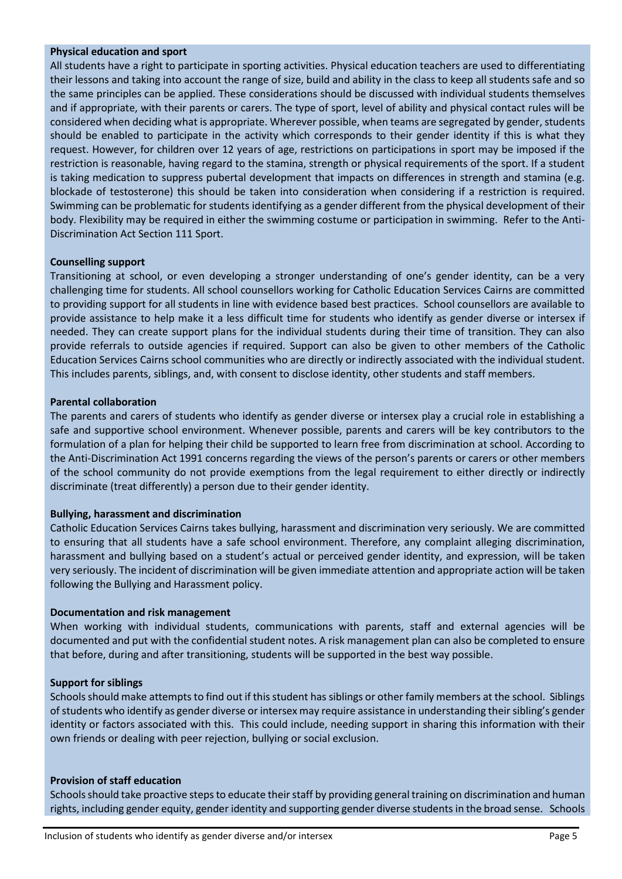#### **Physical education and sport**

All students have a right to participate in sporting activities. Physical education teachers are used to differentiating their lessons and taking into account the range of size, build and ability in the class to keep all students safe and so the same principles can be applied. These considerations should be discussed with individual students themselves and if appropriate, with their parents or carers. The type of sport, level of ability and physical contact rules will be considered when deciding what is appropriate. Wherever possible, when teams are segregated by gender, students should be enabled to participate in the activity which corresponds to their gender identity if this is what they request. However, for children over 12 years of age, restrictions on participations in sport may be imposed if the restriction is reasonable, having regard to the stamina, strength or physical requirements of the sport. If a student is taking medication to suppress pubertal development that impacts on differences in strength and stamina (e.g. blockade of testosterone) this should be taken into consideration when considering if a restriction is required. Swimming can be problematic for students identifying as a gender different from the physical development of their body. Flexibility may be required in either the swimming costume or participation in swimming. Refer to the Anti-Discrimination Act Section 111 Sport.

#### **Counselling support**

Transitioning at school, or even developing a stronger understanding of one's gender identity, can be a very challenging time for students. All school counsellors working for Catholic Education Services Cairns are committed to providing support for all students in line with evidence based best practices. School counsellors are available to provide assistance to help make it a less difficult time for students who identify as gender diverse or intersex if needed. They can create support plans for the individual students during their time of transition. They can also provide referrals to outside agencies if required. Support can also be given to other members of the Catholic Education Services Cairns school communities who are directly or indirectly associated with the individual student. This includes parents, siblings, and, with consent to disclose identity, other students and staff members.

#### **Parental collaboration**

The parents and carers of students who identify as gender diverse or intersex play a crucial role in establishing a safe and supportive school environment. Whenever possible, parents and carers will be key contributors to the formulation of a plan for helping their child be supported to learn free from discrimination at school. According to the Anti-Discrimination Act 1991 concerns regarding the views of the person's parents or carers or other members of the school community do not provide exemptions from the legal requirement to either directly or indirectly discriminate (treat differently) a person due to their gender identity.

#### **Bullying, harassment and discrimination**

Catholic Education Services Cairns takes bullying, harassment and discrimination very seriously. We are committed to ensuring that all students have a safe school environment. Therefore, any complaint alleging discrimination, harassment and bullying based on a student's actual or perceived gender identity, and expression, will be taken very seriously. The incident of discrimination will be given immediate attention and appropriate action will be taken following the Bullying and Harassment policy.

#### **Documentation and risk management**

When working with individual students, communications with parents, staff and external agencies will be documented and put with the confidential student notes. A risk management plan can also be completed to ensure that before, during and after transitioning, students will be supported in the best way possible.

#### **Support for siblings**

Schools should make attempts to find out if this student has siblings or other family members at the school. Siblings of students who identify as gender diverse or intersex may require assistance in understanding their sibling's gender identity or factors associated with this. This could include, needing support in sharing this information with their own friends or dealing with peer rejection, bullying or social exclusion.

#### **Provision of staff education**

Schools should take proactive steps to educate their staff by providing general training on discrimination and human rights, including gender equity, gender identity and supporting gender diverse students in the broad sense. Schools